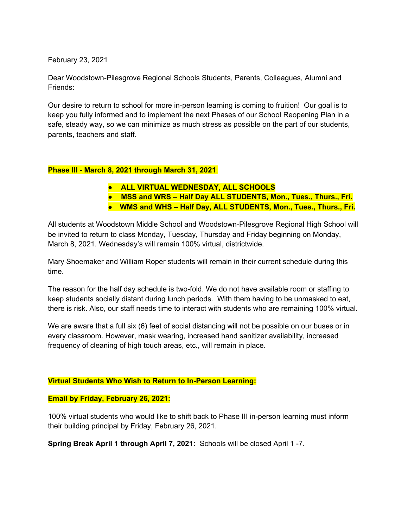February 23, 2021

Dear Woodstown-Pilesgrove Regional Schools Students, Parents, Colleagues, Alumni and Friends:

Our desire to return to school for more in-person learning is coming to fruition! Our goal is to keep you fully informed and to implement the next Phases of our School Reopening Plan in a safe, steady way, so we can minimize as much stress as possible on the part of our students, parents, teachers and staff.

### **Phase III - March 8, 2021 through March 31, 2021**:

- **ALL VIRTUAL WEDNESDAY, ALL SCHOOLS**
- **MSS and WRS – Half Day ALL STUDENTS, Mon., Tues., Thurs., Fri.**
- **WMS and WHS – Half Day, ALL STUDENTS, Mon., Tues., Thurs., Fri.**

All students at Woodstown Middle School and Woodstown-Pilesgrove Regional High School will be invited to return to class Monday, Tuesday, Thursday and Friday beginning on Monday, March 8, 2021. Wednesday's will remain 100% virtual, districtwide.

Mary Shoemaker and William Roper students will remain in their current schedule during this time.

The reason for the half day schedule is two-fold. We do not have available room or staffing to keep students socially distant during lunch periods. With them having to be unmasked to eat, there is risk. Also, our staff needs time to interact with students who are remaining 100% virtual.

We are aware that a full six (6) feet of social distancing will not be possible on our buses or in every classroom. However, mask wearing, increased hand sanitizer availability, increased frequency of cleaning of high touch areas, etc., will remain in place.

#### **Virtual Students Who Wish to Return to In-Person Learning:**

#### **Email by Friday, February 26, 2021:**

100% virtual students who would like to shift back to Phase III in-person learning must inform their building principal by Friday, February 26, 2021.

**Spring Break April 1 through April 7, 2021:** Schools will be closed April 1 -7.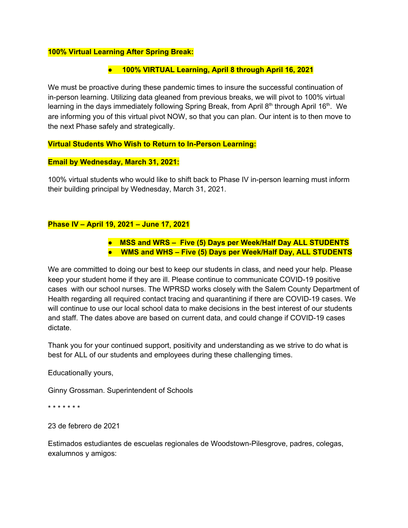### **100% Virtual Learning After Spring Break:**

## ● **100% VIRTUAL Learning, April 8 through April 16, 2021**

We must be proactive during these pandemic times to insure the successful continuation of in-person learning. Utilizing data gleaned from previous breaks, we will pivot to 100% virtual learning in the days immediately following Spring Break, from April 8<sup>th</sup> through April 16<sup>th</sup>. We are informing you of this virtual pivot NOW, so that you can plan. Our intent is to then move to the next Phase safely and strategically.

#### **Virtual Students Who Wish to Return to In-Person Learning:**

### **Email by Wednesday, March 31, 2021:**

100% virtual students who would like to shift back to Phase IV in-person learning must inform their building principal by Wednesday, March 31, 2021.

## **Phase IV – April 19, 2021 – June 17, 2021**

**● MSS and WRS – Five (5) Days per Week/Half Day ALL STUDENTS** ● **WMS and WHS – Five (5) Days per Week/Half Day, ALL STUDENTS**

We are committed to doing our best to keep our students in class, and need your help. Please keep your student home if they are ill. Please continue to communicate COVID-19 positive cases with our school nurses. The WPRSD works closely with the Salem County Department of Health regarding all required contact tracing and quarantining if there are COVID-19 cases. We will continue to use our local school data to make decisions in the best interest of our students and staff. The dates above are based on current data, and could change if COVID-19 cases dictate.

Thank you for your continued support, positivity and understanding as we strive to do what is best for ALL of our students and employees during these challenging times.

Educationally yours,

Ginny Grossman. Superintendent of Schools

\* \* \* \* \* \* \*

23 de febrero de 2021

Estimados estudiantes de escuelas regionales de Woodstown-Pilesgrove, padres, colegas, exalumnos y amigos: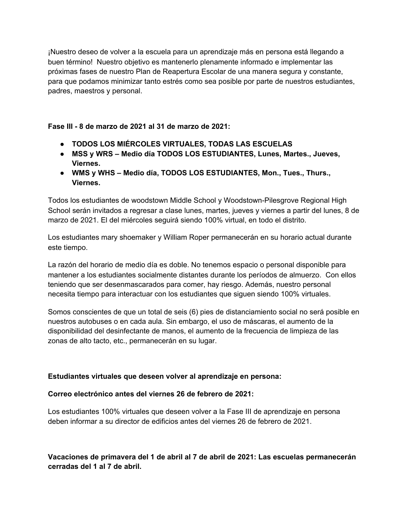¡Nuestro deseo de volver a la escuela para un aprendizaje más en persona está llegando a buen término! Nuestro objetivo es mantenerlo plenamente informado e implementar las próximas fases de nuestro Plan de Reapertura Escolar de una manera segura y constante, para que podamos minimizar tanto estrés como sea posible por parte de nuestros estudiantes, padres, maestros y personal.

## **Fase III - 8 de marzo de 2021 al 31 de marzo de 2021:**

- **● TODOS LOS MIÉRCOLES VIRTUALES, TODAS LAS ESCUELAS**
- **● MSS y WRS – Medio día TODOS LOS ESTUDIANTES, Lunes, Martes., Jueves, Viernes.**
- **● WMS y WHS – Medio día, TODOS LOS ESTUDIANTES, Mon., Tues., Thurs., Viernes.**

Todos los estudiantes de woodstown Middle School y Woodstown-Pilesgrove Regional High School serán invitados a regresar a clase lunes, martes, jueves y viernes a partir del lunes, 8 de marzo de 2021. El del miércoles seguirá siendo 100% virtual, en todo el distrito.

Los estudiantes mary shoemaker y William Roper permanecerán en su horario actual durante este tiempo.

La razón del horario de medio día es doble. No tenemos espacio o personal disponible para mantener a los estudiantes socialmente distantes durante los períodos de almuerzo. Con ellos teniendo que ser desenmascarados para comer, hay riesgo. Además, nuestro personal necesita tiempo para interactuar con los estudiantes que siguen siendo 100% virtuales.

Somos conscientes de que un total de seis (6) pies de distanciamiento social no será posible en nuestros autobuses o en cada aula. Sin embargo, el uso de máscaras, el aumento de la disponibilidad del desinfectante de manos, el aumento de la frecuencia de limpieza de las zonas de alto tacto, etc., permanecerán en su lugar.

## **Estudiantes virtuales que deseen volver al aprendizaje en persona:**

## **Correo electrónico antes del viernes 26 de febrero de 2021:**

Los estudiantes 100% virtuales que deseen volver a la Fase III de aprendizaje en persona deben informar a su director de edificios antes del viernes 26 de febrero de 2021.

**Vacaciones de primavera del 1 de abril al 7 de abril de 2021: Las escuelas permanecerán cerradas del 1 al 7 de abril.**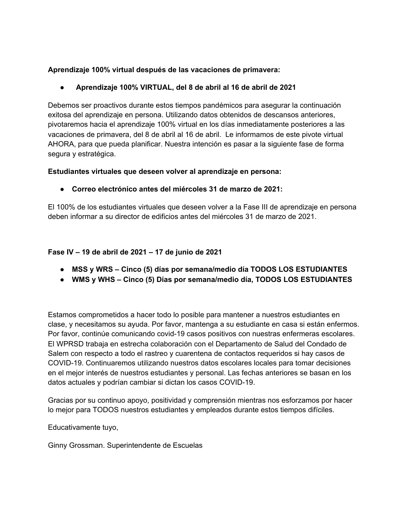# **Aprendizaje 100% virtual después de las vacaciones de primavera:**

# **● Aprendizaje 100% VIRTUAL, del 8 de abril al 16 de abril de 2021**

Debemos ser proactivos durante estos tiempos pandémicos para asegurar la continuación exitosa del aprendizaje en persona. Utilizando datos obtenidos de descansos anteriores, pivotaremos hacia el aprendizaje 100% virtual en los días inmediatamente posteriores a las vacaciones de primavera, del 8 de abril al 16 de abril. Le informamos de este pivote virtual AHORA, para que pueda planificar. Nuestra intención es pasar a la siguiente fase de forma segura y estratégica.

## **Estudiantes virtuales que deseen volver al aprendizaje en persona:**

# **● Correo electrónico antes del miércoles 31 de marzo de 2021:**

El 100% de los estudiantes virtuales que deseen volver a la Fase III de aprendizaje en persona deben informar a su director de edificios antes del miércoles 31 de marzo de 2021.

## **Fase IV – 19 de abril de 2021 – 17 de junio de 2021**

- **● MSS y WRS – Cinco (5) días por semana/medio día TODOS LOS ESTUDIANTES**
- **● WMS y WHS – Cinco (5) Días por semana/medio día, TODOS LOS ESTUDIANTES**

Estamos comprometidos a hacer todo lo posible para mantener a nuestros estudiantes en clase, y necesitamos su ayuda. Por favor, mantenga a su estudiante en casa si están enfermos. Por favor, continúe comunicando covid-19 casos positivos con nuestras enfermeras escolares. El WPRSD trabaja en estrecha colaboración con el Departamento de Salud del Condado de Salem con respecto a todo el rastreo y cuarentena de contactos requeridos si hay casos de COVID-19. Continuaremos utilizando nuestros datos escolares locales para tomar decisiones en el mejor interés de nuestros estudiantes y personal. Las fechas anteriores se basan en los datos actuales y podrían cambiar si dictan los casos COVID-19.

Gracias por su continuo apoyo, positividad y comprensión mientras nos esforzamos por hacer lo mejor para TODOS nuestros estudiantes y empleados durante estos tiempos difíciles.

Educativamente tuyo,

Ginny Grossman. Superintendente de Escuelas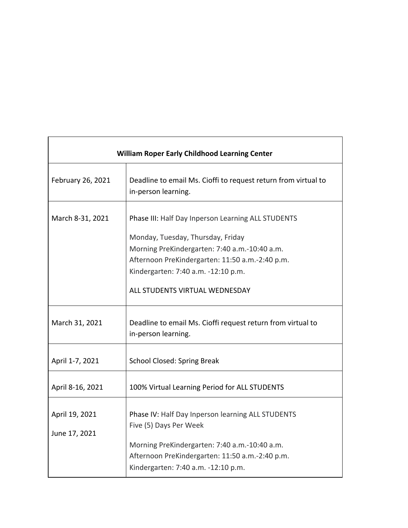| <b>William Roper Early Childhood Learning Center</b> |                                                                                                                                                                                                                                                                      |  |
|------------------------------------------------------|----------------------------------------------------------------------------------------------------------------------------------------------------------------------------------------------------------------------------------------------------------------------|--|
| February 26, 2021                                    | Deadline to email Ms. Cioffi to request return from virtual to<br>in-person learning.                                                                                                                                                                                |  |
| March 8-31, 2021                                     | Phase III: Half Day Inperson Learning ALL STUDENTS<br>Monday, Tuesday, Thursday, Friday<br>Morning PreKindergarten: 7:40 a.m.-10:40 a.m.<br>Afternoon PreKindergarten: 11:50 a.m.-2:40 p.m.<br>Kindergarten: 7:40 a.m. -12:10 p.m.<br>ALL STUDENTS VIRTUAL WEDNESDAY |  |
| March 31, 2021                                       | Deadline to email Ms. Cioffi request return from virtual to<br>in-person learning.                                                                                                                                                                                   |  |
| April 1-7, 2021                                      | <b>School Closed: Spring Break</b>                                                                                                                                                                                                                                   |  |
| April 8-16, 2021                                     | 100% Virtual Learning Period for ALL STUDENTS                                                                                                                                                                                                                        |  |
| April 19, 2021<br>June 17, 2021                      | Phase IV: Half Day Inperson learning ALL STUDENTS<br>Five (5) Days Per Week<br>Morning PreKindergarten: 7:40 a.m.-10:40 a.m.<br>Afternoon PreKindergarten: 11:50 a.m.-2:40 p.m.<br>Kindergarten: 7:40 a.m. -12:10 p.m.                                               |  |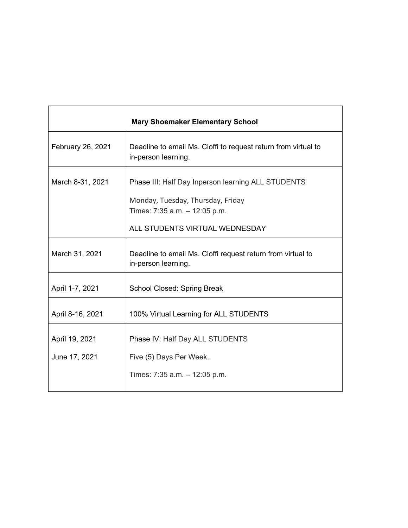| <b>Mary Shoemaker Elementary School</b> |                                                                                       |
|-----------------------------------------|---------------------------------------------------------------------------------------|
| February 26, 2021                       | Deadline to email Ms. Cioffi to request return from virtual to<br>in-person learning. |
| March 8-31, 2021                        | Phase III: Half Day Inperson learning ALL STUDENTS                                    |
|                                         | Monday, Tuesday, Thursday, Friday<br>Times: 7:35 a.m. - 12:05 p.m.                    |
|                                         | ALL STUDENTS VIRTUAL WEDNESDAY                                                        |
| March 31, 2021                          | Deadline to email Ms. Cioffi request return from virtual to<br>in-person learning.    |
| April 1-7, 2021                         | School Closed: Spring Break                                                           |
| April 8-16, 2021                        | 100% Virtual Learning for ALL STUDENTS                                                |
| April 19, 2021                          | Phase IV: Half Day ALL STUDENTS                                                       |
| June 17, 2021                           | Five (5) Days Per Week.                                                               |
|                                         | Times: $7:35$ a.m. $-12:05$ p.m.                                                      |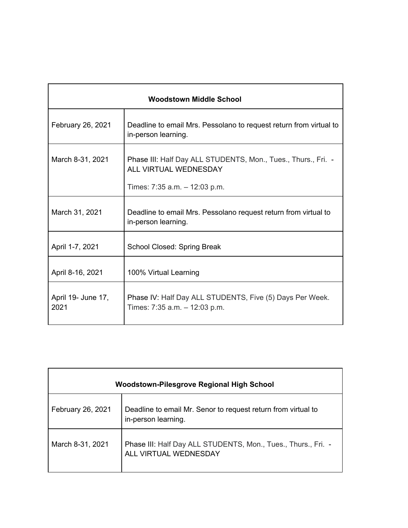| <b>Woodstown Middle School</b> |                                                                                           |  |
|--------------------------------|-------------------------------------------------------------------------------------------|--|
| February 26, 2021              | Deadline to email Mrs. Pessolano to request return from virtual to<br>in-person learning. |  |
| March 8-31, 2021               | Phase III: Half Day ALL STUDENTS, Mon., Tues., Thurs., Fri. -<br>ALL VIRTUAL WEDNESDAY    |  |
|                                | Times: 7:35 a.m. - 12:03 p.m.                                                             |  |
| March 31, 2021                 | Deadline to email Mrs. Pessolano request return from virtual to<br>in-person learning.    |  |
| April 1-7, 2021                | School Closed: Spring Break                                                               |  |
| April 8-16, 2021               | 100% Virtual Learning                                                                     |  |
| April 19- June 17,<br>2021     | Phase IV: Half Day ALL STUDENTS, Five (5) Days Per Week.<br>Times: 7:35 a.m. - 12:03 p.m. |  |

| Woodstown-Pilesgrove Regional High School |                                                                                        |  |
|-------------------------------------------|----------------------------------------------------------------------------------------|--|
| February 26, 2021                         | Deadline to email Mr. Senor to request return from virtual to<br>in-person learning.   |  |
| March 8-31, 2021                          | Phase III: Half Day ALL STUDENTS, Mon., Tues., Thurs., Fri. -<br>ALL VIRTUAL WEDNESDAY |  |